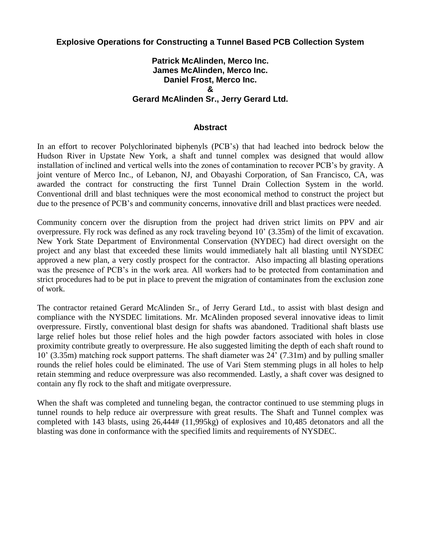#### **Explosive Operations for Constructing a Tunnel Based PCB Collection System**

#### **Patrick McAlinden, Merco Inc. James McAlinden, Merco Inc. Daniel Frost, Merco Inc. & Gerard McAlinden Sr., Jerry Gerard Ltd.**

#### **Abstract**

In an effort to recover Polychlorinated biphenyls (PCB's) that had leached into bedrock below the Hudson River in Upstate New York, a shaft and tunnel complex was designed that would allow installation of inclined and vertical wells into the zones of contamination to recover PCB's by gravity. A joint venture of Merco Inc., of Lebanon, NJ, and Obayashi Corporation, of San Francisco, CA, was awarded the contract for constructing the first Tunnel Drain Collection System in the world. Conventional drill and blast techniques were the most economical method to construct the project but due to the presence of PCB's and community concerns, innovative drill and blast practices were needed.

Community concern over the disruption from the project had driven strict limits on PPV and air overpressure. Fly rock was defined as any rock traveling beyond 10' (3.35m) of the limit of excavation. New York State Department of Environmental Conservation (NYDEC) had direct oversight on the project and any blast that exceeded these limits would immediately halt all blasting until NYSDEC approved a new plan, a very costly prospect for the contractor. Also impacting all blasting operations was the presence of PCB's in the work area. All workers had to be protected from contamination and strict procedures had to be put in place to prevent the migration of contaminates from the exclusion zone of work.

The contractor retained Gerard McAlinden Sr., of Jerry Gerard Ltd., to assist with blast design and compliance with the NYSDEC limitations. Mr. McAlinden proposed several innovative ideas to limit overpressure. Firstly, conventional blast design for shafts was abandoned. Traditional shaft blasts use large relief holes but those relief holes and the high powder factors associated with holes in close proximity contribute greatly to overpressure. He also suggested limiting the depth of each shaft round to 10' (3.35m) matching rock support patterns. The shaft diameter was 24' (7.31m) and by pulling smaller rounds the relief holes could be eliminated. The use of Vari Stem stemming plugs in all holes to help retain stemming and reduce overpressure was also recommended. Lastly, a shaft cover was designed to contain any fly rock to the shaft and mitigate overpressure.

When the shaft was completed and tunneling began, the contractor continued to use stemming plugs in tunnel rounds to help reduce air overpressure with great results. The Shaft and Tunnel complex was completed with 143 blasts, using 26,444# (11,995kg) of explosives and 10,485 detonators and all the blasting was done in conformance with the specified limits and requirements of NYSDEC.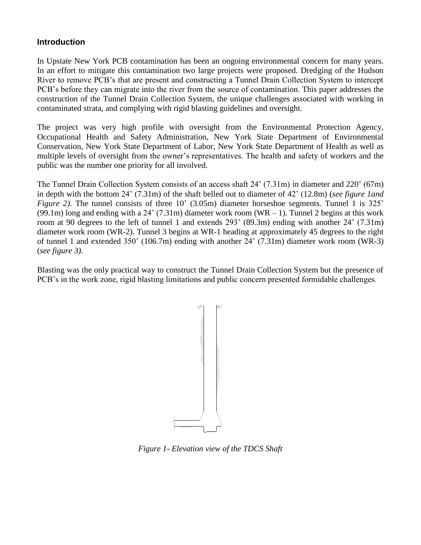## **Introduction**

In Upstate New York PCB contamination has been an ongoing environmental concern for many years. In an effort to mitigate this contamination two large projects were proposed. Dredging of the Hudson River to remove PCB's that are present and constructing a Tunnel Drain Collection System to intercept PCB's before they can migrate into the river from the source of contamination. This paper addresses the construction of the Tunnel Drain Collection System, the unique challenges associated with working in contaminated strata, and complying with rigid blasting guidelines and oversight.

The project was very high profile with oversight from the Environmental Protection Agency, Occupational Health and Safety Administration, New York State Department of Environmental Conservation, New York State Department of Labor, New York State Department of Health as well as multiple levels of oversight from the owner's representatives. The health and safety of workers and the public was the number one priority for all involved.

The Tunnel Drain Collection System consists of an access shaft 24' (7.31m) in diameter and 220' (67m) in depth with the bottom 24' (7.31m) of the shaft belled out to diameter of 42' (12.8m) (*see figure 1and Figure 2)*. The tunnel consists of three 10' (3.05m) diameter horseshoe segments. Tunnel 1 is 325' (99.1m) long and ending with a 24' (7.31m) diameter work room (WR  $-$  1). Tunnel 2 begins at this work room at 90 degrees to the left of tunnel 1 and extends 293' (89.3m) ending with another 24' (7.31m) diameter work room (WR-2). Tunnel 3 begins at WR-1 heading at approximately 45 degrees to the right of tunnel 1 and extended 350' (106.7m) ending with another 24' (7.31m) diameter work room (WR-3) (*see figure 3)*.

Blasting was the only practical way to construct the Tunnel Drain Collection System but the presence of PCB's in the work zone, rigid blasting limitations and public concern presented formidable challenges.



*Figure 1- Elevation view of the TDCS Shaft*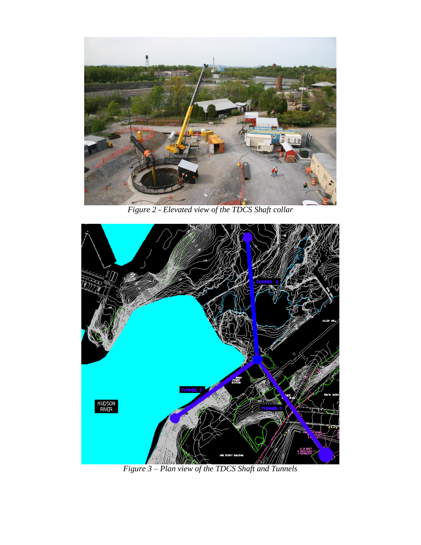

*Figure 2 - Elevated view of the TDCS Shaft collar*



*Figure 3 – Plan view of the TDCS Shaft and Tunnels*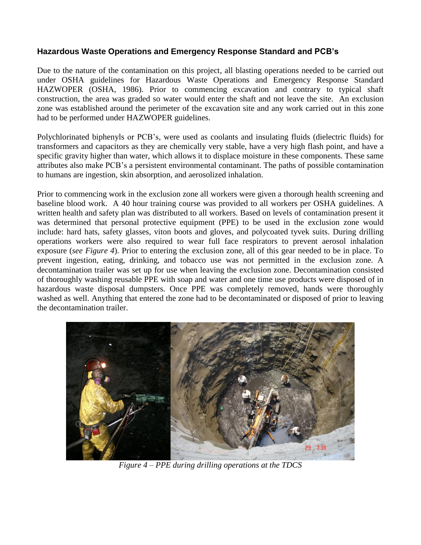## **Hazardous Waste Operations and Emergency Response Standard and PCB's**

Due to the nature of the contamination on this project, all blasting operations needed to be carried out under OSHA guidelines for Hazardous Waste Operations and Emergency Response Standard HAZWOPER (OSHA, 1986). Prior to commencing excavation and contrary to typical shaft construction, the area was graded so water would enter the shaft and not leave the site. An exclusion zone was established around the perimeter of the excavation site and any work carried out in this zone had to be performed under HAZWOPER guidelines.

Polychlorinated biphenyls or PCB's, were used as coolants and insulating fluids (dielectric fluids) for transformers and capacitors as they are chemically very stable, have a very high flash point, and have a specific gravity higher than water, which allows it to displace moisture in these components. These same attributes also make PCB's a persistent environmental contaminant. The paths of possible contamination to humans are ingestion, skin absorption, and aerosolized inhalation.

Prior to commencing work in the exclusion zone all workers were given a thorough health screening and baseline blood work. A 40 hour training course was provided to all workers per OSHA guidelines. A written health and safety plan was distributed to all workers. Based on levels of contamination present it was determined that personal protective equipment (PPE) to be used in the exclusion zone would include: hard hats, safety glasses, viton boots and gloves, and polycoated tyvek suits. During drilling operations workers were also required to wear full face respirators to prevent aerosol inhalation exposure (*see Figure 4*). Prior to entering the exclusion zone, all of this gear needed to be in place. To prevent ingestion, eating, drinking, and tobacco use was not permitted in the exclusion zone. A decontamination trailer was set up for use when leaving the exclusion zone. Decontamination consisted of thoroughly washing reusable PPE with soap and water and one time use products were disposed of in hazardous waste disposal dumpsters. Once PPE was completely removed, hands were thoroughly washed as well. Anything that entered the zone had to be decontaminated or disposed of prior to leaving the decontamination trailer.



*Figure 4 – PPE during drilling operations at the TDCS*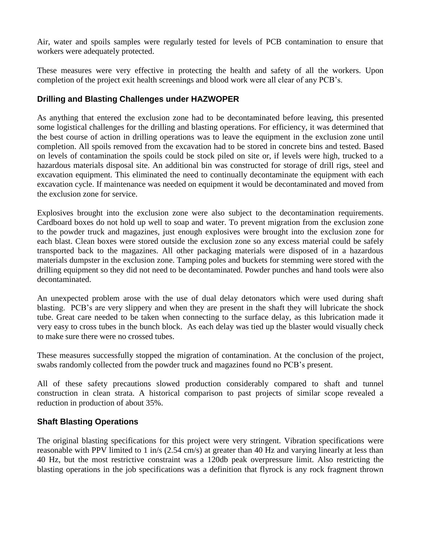Air, water and spoils samples were regularly tested for levels of PCB contamination to ensure that workers were adequately protected.

These measures were very effective in protecting the health and safety of all the workers. Upon completion of the project exit health screenings and blood work were all clear of any PCB's.

# **Drilling and Blasting Challenges under HAZWOPER**

As anything that entered the exclusion zone had to be decontaminated before leaving, this presented some logistical challenges for the drilling and blasting operations. For efficiency, it was determined that the best course of action in drilling operations was to leave the equipment in the exclusion zone until completion. All spoils removed from the excavation had to be stored in concrete bins and tested. Based on levels of contamination the spoils could be stock piled on site or, if levels were high, trucked to a hazardous materials disposal site. An additional bin was constructed for storage of drill rigs, steel and excavation equipment. This eliminated the need to continually decontaminate the equipment with each excavation cycle. If maintenance was needed on equipment it would be decontaminated and moved from the exclusion zone for service.

Explosives brought into the exclusion zone were also subject to the decontamination requirements. Cardboard boxes do not hold up well to soap and water. To prevent migration from the exclusion zone to the powder truck and magazines, just enough explosives were brought into the exclusion zone for each blast. Clean boxes were stored outside the exclusion zone so any excess material could be safely transported back to the magazines. All other packaging materials were disposed of in a hazardous materials dumpster in the exclusion zone. Tamping poles and buckets for stemming were stored with the drilling equipment so they did not need to be decontaminated. Powder punches and hand tools were also decontaminated.

An unexpected problem arose with the use of dual delay detonators which were used during shaft blasting. PCB's are very slippery and when they are present in the shaft they will lubricate the shock tube. Great care needed to be taken when connecting to the surface delay, as this lubrication made it very easy to cross tubes in the bunch block. As each delay was tied up the blaster would visually check to make sure there were no crossed tubes.

These measures successfully stopped the migration of contamination. At the conclusion of the project, swabs randomly collected from the powder truck and magazines found no PCB's present.

All of these safety precautions slowed production considerably compared to shaft and tunnel construction in clean strata. A historical comparison to past projects of similar scope revealed a reduction in production of about 35%.

## **Shaft Blasting Operations**

The original blasting specifications for this project were very stringent. Vibration specifications were reasonable with PPV limited to 1 in/s (2.54 cm/s) at greater than 40 Hz and varying linearly at less than 40 Hz, but the most restrictive constraint was a 120db peak overpressure limit. Also restricting the blasting operations in the job specifications was a definition that flyrock is any rock fragment thrown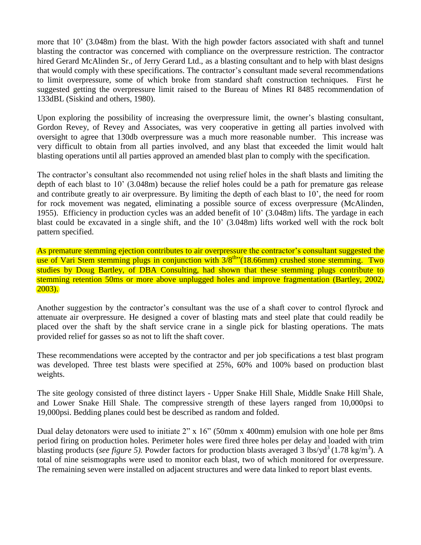more that 10' (3.048m) from the blast. With the high powder factors associated with shaft and tunnel blasting the contractor was concerned with compliance on the overpressure restriction. The contractor hired Gerard McAlinden Sr., of Jerry Gerard Ltd., as a blasting consultant and to help with blast designs that would comply with these specifications. The contractor's consultant made several recommendations to limit overpressure, some of which broke from standard shaft construction techniques. First he suggested getting the overpressure limit raised to the Bureau of Mines RI 8485 recommendation of 133dBL (Siskind and others, 1980).

Upon exploring the possibility of increasing the overpressure limit, the owner's blasting consultant, Gordon Revey, of Revey and Associates, was very cooperative in getting all parties involved with oversight to agree that 130db overpressure was a much more reasonable number. This increase was very difficult to obtain from all parties involved, and any blast that exceeded the limit would halt blasting operations until all parties approved an amended blast plan to comply with the specification.

The contractor's consultant also recommended not using relief holes in the shaft blasts and limiting the depth of each blast to 10' (3.048m) because the relief holes could be a path for premature gas release and contribute greatly to air overpressure. By limiting the depth of each blast to 10', the need for room for rock movement was negated, eliminating a possible source of excess overpressure (McAlinden, 1955). Efficiency in production cycles was an added benefit of 10' (3.048m) lifts. The yardage in each blast could be excavated in a single shift, and the 10' (3.048m) lifts worked well with the rock bolt pattern specified.

As premature stemming ejection contributes to air overpressure the contractor's consultant suggested the use of Vari Stem stemming plugs in conjunction with  $3/8^{\text{th}}$  (18.66mm) crushed stone stemming. Two studies by Doug Bartley, of DBA Consulting, had shown that these stemming plugs contribute to stemming retention 50ms or more above unplugged holes and improve fragmentation (Bartley, 2002, 2003).

Another suggestion by the contractor's consultant was the use of a shaft cover to control flyrock and attenuate air overpressure. He designed a cover of blasting mats and steel plate that could readily be placed over the shaft by the shaft service crane in a single pick for blasting operations. The mats provided relief for gasses so as not to lift the shaft cover.

These recommendations were accepted by the contractor and per job specifications a test blast program was developed. Three test blasts were specified at 25%, 60% and 100% based on production blast weights.

The site geology consisted of three distinct layers - Upper Snake Hill Shale, Middle Snake Hill Shale, and Lower Snake Hill Shale. The compressive strength of these layers ranged from 10,000psi to 19,000psi. Bedding planes could best be described as random and folded.

Dual delay detonators were used to initiate 2" x 16" (50mm x 400mm) emulsion with one hole per 8ms period firing on production holes. Perimeter holes were fired three holes per delay and loaded with trim blasting products (*see figure 5*). Powder factors for production blasts averaged 3 lbs/yd<sup>3</sup> (1.78 kg/m<sup>3</sup>). A total of nine seismographs were used to monitor each blast, two of which monitored for overpressure. The remaining seven were installed on adjacent structures and were data linked to report blast events.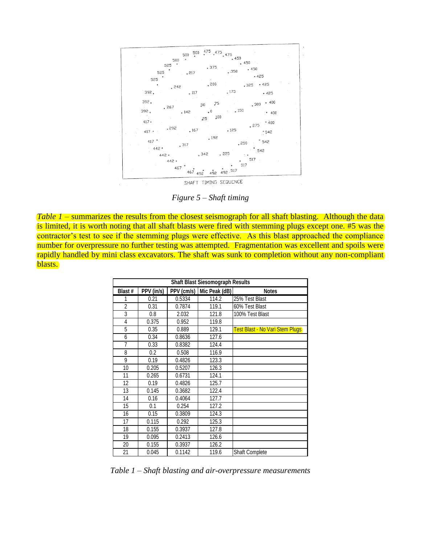$475$  475 500  $.475$   $.450$  $500<sup>1</sup>$ 500 450 525 375  $.450$  $.350$ 525  $.217$  $.425$ 525 , 200  $.425$ .325 , 242  $.175$ 392  $.117$  $-425$ 392.  $.400$ 75  $,300$ 50  $267$ 392.  $\degree$  150  $_{\circ}$  0  $.142$  $.400$ 100 25  $417$ .  $.400$ 275 , 292  $.167$  $.125$ 417  $.542$  $.192$ 417 542 .250  $317$  $442$ 542 442. 342  $.225$ 517 442. 517 467  $\frac{1}{492}$ . 517 467  $-492$  $492$ 

SHAFT TIMING SEQUENCE

*Figure 5 – Shaft timing*

*Table 1* – summarizes the results from the closest seismograph for all shaft blasting. Although the data is limited, it is worth noting that all shaft blasts were fired with stemming plugs except one. #5 was the contractor's test to see if the stemming plugs were effective. As this blast approached the compliance number for overpressure no further testing was attempted. Fragmentation was excellent and spoils were rapidly handled by mini class excavators. The shaft was sunk to completion without any non-compliant blasts.

| <b>Shaft Blast Siesomograph Results</b> |            |        |                            |                                 |  |  |  |
|-----------------------------------------|------------|--------|----------------------------|---------------------------------|--|--|--|
| Blast #                                 | PPV (in/s) |        | PPV (cm/s)   Mic Peak (dB) | <b>Notes</b>                    |  |  |  |
| 1                                       | 0.21       | 0.5334 | 114.2                      | 25% Test Blast                  |  |  |  |
| $\overline{2}$                          | 0.31       | 0.7874 | 119.1                      | 60% Test Blast                  |  |  |  |
| 3                                       | 0.8        | 2.032  | 121.8                      | 100% Test Blast                 |  |  |  |
| $\overline{4}$                          | 0.375      | 0.952  | 119.8                      |                                 |  |  |  |
| 5                                       | 0.35       | 0.889  | 129.1                      | Test Blast - No Vari Stem Plugs |  |  |  |
| 6                                       | 0.34       | 0.8636 | 127.6                      |                                 |  |  |  |
| $\overline{7}$                          | 0.33       | 0.8382 | 124.4                      |                                 |  |  |  |
| 8                                       | 0.2        | 0.508  | 116.9                      |                                 |  |  |  |
| 9                                       | 0.19       | 0.4826 | 123.3                      |                                 |  |  |  |
| 10                                      | 0.205      | 0.5207 | 126.3                      |                                 |  |  |  |
| 11                                      | 0.265      | 0.6731 | 124.1                      |                                 |  |  |  |
| 12                                      | 0.19       | 0.4826 | 125.7                      |                                 |  |  |  |
| 13                                      | 0.145      | 0.3682 | 122.4                      |                                 |  |  |  |
| 14                                      | 0.16       | 0.4064 | 127.7                      |                                 |  |  |  |
| 15                                      | 0.1        | 0.254  | 127.2                      |                                 |  |  |  |
| 16                                      | 0.15       | 0.3809 | 124.3                      |                                 |  |  |  |
| 17                                      | 0.115      | 0.292  | 125.3                      |                                 |  |  |  |
| 18                                      | 0.155      | 0.3937 | 127.8                      |                                 |  |  |  |
| 19                                      | 0.095      | 0.2413 | 126.6                      |                                 |  |  |  |
| 20                                      | 0.155      | 0.3937 | 126.2                      |                                 |  |  |  |
| 21                                      | 0.045      | 0.1142 | 119.6                      | <b>Shaft Complete</b>           |  |  |  |

*Table 1 – Shaft blasting and air-overpressure measurements*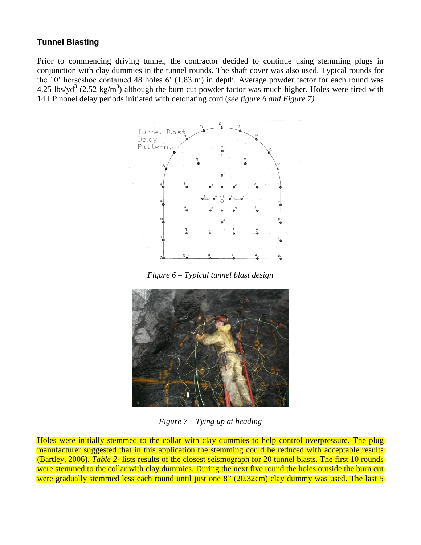# **Tunnel Blasting**

Prior to commencing driving tunnel, the contractor decided to continue using stemming plugs in conjunction with clay dummies in the tunnel rounds. The shaft cover was also used. Typical rounds for the 10' horseshoe contained 48 holes 6' (1.83 m) in depth. Average powder factor for each round was 4.25 lbs/yd<sup>3</sup> (2.52 kg/m<sup>3</sup>) although the burn cut powder factor was much higher. Holes were fired with 14 LP nonel delay periods initiated with detonating cord (*see figure 6 and Figure 7).*



*Figure 6 – Typical tunnel blast design*



*Figure 7 – Tying up at heading*

Holes were initially stemmed to the collar with clay dummies to help control overpressure. The plug manufacturer suggested that in this application the stemming could be reduced with acceptable results (Bartley, 2006). *Table 2-* lists results of the closest seismograph for 20 tunnel blasts. The first 10 rounds were stemmed to the collar with clay dummies. During the next five round the holes outside the burn cut were gradually stemmed less each round until just one 8" (20.32cm) clay dummy was used. The last 5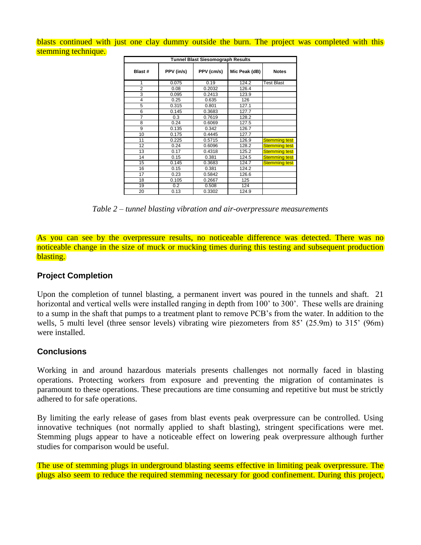blasts continued with just one clay dummy outside the burn. The project was completed with this stemming technique.

| <b>Tunnel Blast Siesomograph Results</b> |            |            |               |                      |  |  |  |
|------------------------------------------|------------|------------|---------------|----------------------|--|--|--|
| Blast #                                  | PPV (in/s) | PPV (cm/s) | Mic Peak (dB) | <b>Notes</b>         |  |  |  |
| 1                                        | 0.075      | 0.19       | 124.2         | <b>Test Blast</b>    |  |  |  |
| $\overline{2}$                           | 0.08       | 0.2032     | 126.4         |                      |  |  |  |
| 3                                        | 0.095      | 0.2413     | 123.9         |                      |  |  |  |
| 4                                        | 0.25       | 0.635      | 126           |                      |  |  |  |
| 5                                        | 0.315      | 0.801      | 127.1         |                      |  |  |  |
| 6                                        | 0.145      | 0.3683     | 127.7         |                      |  |  |  |
| 7                                        | 0.3        | 0.7619     | 128.2         |                      |  |  |  |
| 8                                        | 0.24       | 0.6069     | 127.5         |                      |  |  |  |
| 9                                        | 0.135      | 0.342      | 126.7         |                      |  |  |  |
| 10                                       | 0.175      | 0.4445     | 127.7         |                      |  |  |  |
| 11                                       | 0.225      | 0.5715     | 126.9         | <b>Stemming test</b> |  |  |  |
| 12                                       | 0.24       | 0.6096     | 128.2         | <b>Stemming test</b> |  |  |  |
| 13                                       | 0.17       | 0.4318     | 125.2         | <b>Stemming test</b> |  |  |  |
| 14                                       | 0.15       | 0.381      | 124.5         | <b>Stemming test</b> |  |  |  |
| 15                                       | 0.145      | 0.3683     | 124.7         | <b>Stemming test</b> |  |  |  |
| 16                                       | 0.15       | 0.381      | 124.2         |                      |  |  |  |
| 17                                       | 0.23       | 0.5842     | 126.6         |                      |  |  |  |
| 18                                       | 0.105      | 0.2667     | 125           |                      |  |  |  |
| 19                                       | 0.2        | 0.508      | 124           |                      |  |  |  |
| 20                                       | 0.13       | 0.3302     | 124.9         |                      |  |  |  |

*Table 2 – tunnel blasting vibration and air-overpressure measurements*

As you can see by the overpressure results, no noticeable difference was detected. There was no noticeable change in the size of muck or mucking times during this testing and subsequent production blasting.

## **Project Completion**

Upon the completion of tunnel blasting, a permanent invert was poured in the tunnels and shaft. 21 horizontal and vertical wells were installed ranging in depth from 100' to 300'. These wells are draining to a sump in the shaft that pumps to a treatment plant to remove PCB's from the water. In addition to the wells, 5 multi level (three sensor levels) vibrating wire piezometers from 85' (25.9m) to 315' (96m) were installed.

## **Conclusions**

Working in and around hazardous materials presents challenges not normally faced in blasting operations. Protecting workers from exposure and preventing the migration of contaminates is paramount to these operations. These precautions are time consuming and repetitive but must be strictly adhered to for safe operations.

By limiting the early release of gases from blast events peak overpressure can be controlled. Using innovative techniques (not normally applied to shaft blasting), stringent specifications were met. Stemming plugs appear to have a noticeable effect on lowering peak overpressure although further studies for comparison would be useful.

The use of stemming plugs in underground blasting seems effective in limiting peak overpressure. The plugs also seem to reduce the required stemming necessary for good confinement. During this project,